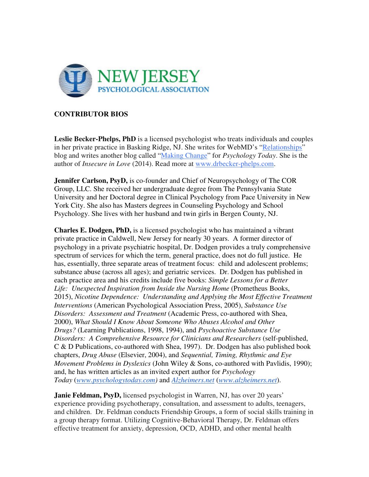

## **CONTRIBUTOR BIOS**

**Leslie Becker-Phelps, PhD** is a licensed psychologist who treats individuals and couples in her private practice in Basking Ridge, NJ. She writes for WebMD's "Relationships" blog and writes another blog called "Making Change" for *Psychology Today*. She is the author of *Insecure in Love* (2014). Read more at www.drbecker-phelps.com.

**Jennifer Carlson, PsyD,** is co-founder and Chief of Neuropsychology of The COR Group, LLC. She received her undergraduate degree from The Pennsylvania State University and her Doctoral degree in Clinical Psychology from Pace University in New York City. She also has Masters degrees in Counseling Psychology and School Psychology. She lives with her husband and twin girls in Bergen County, NJ.

**Charles E. Dodgen, PhD,** is a licensed psychologist who has maintained a vibrant private practice in Caldwell, New Jersey for nearly 30 years. A former director of psychology in a private psychiatric hospital, Dr. Dodgen provides a truly comprehensive spectrum of services for which the term, general practice, does not do full justice. He has, essentially, three separate areas of treatment focus: child and adolescent problems; substance abuse (across all ages); and geriatric services. Dr. Dodgen has published in each practice area and his credits include five books: *Simple Lessons for a Better Life: Unexpected Inspiration from Inside the Nursing Home* (Prometheus Books, 2015), *Nicotine Dependence: Understanding and Applying the Most Effective Treatment Interventions* (American Psychological Association Press, 2005), *Substance Use Disorders: Assessment and Treatment* (Academic Press, co-authored with Shea, 2000), *What Should I Know About Someone Who Abuses Alcohol and Other Drugs?* (Learning Publications, 1998, 1994), and *Psychoactive Substance Use Disorders: A Comprehensive Resource for Clinicians and Researchers* (self-published, C & D Publications, co-authored with Shea, 1997). Dr. Dodgen has also published book chapters, *Drug Abuse* (Elsevier, 2004), and *Sequential, Timing, Rhythmic and Eye Movement Problems in Dyslexics* (John Wiley & Sons, co-authored with Pavlidis, 1990); and, he has written articles as an invited expert author for *Psychology Today* (*www.psychologytoday.com)* and *Alzheimers.net* (*www.alzheimers.net*).

**Janie Feldman, PsyD,** licensed psychologist in Warren, NJ, has over 20 years' experience providing psychotherapy, consultation, and assessment to adults, teenagers, and children. Dr. Feldman conducts Friendship Groups, a form of social skills training in a group therapy format. Utilizing Cognitive-Behavioral Therapy, Dr. Feldman offers effective treatment for anxiety, depression, OCD, ADHD, and other mental health